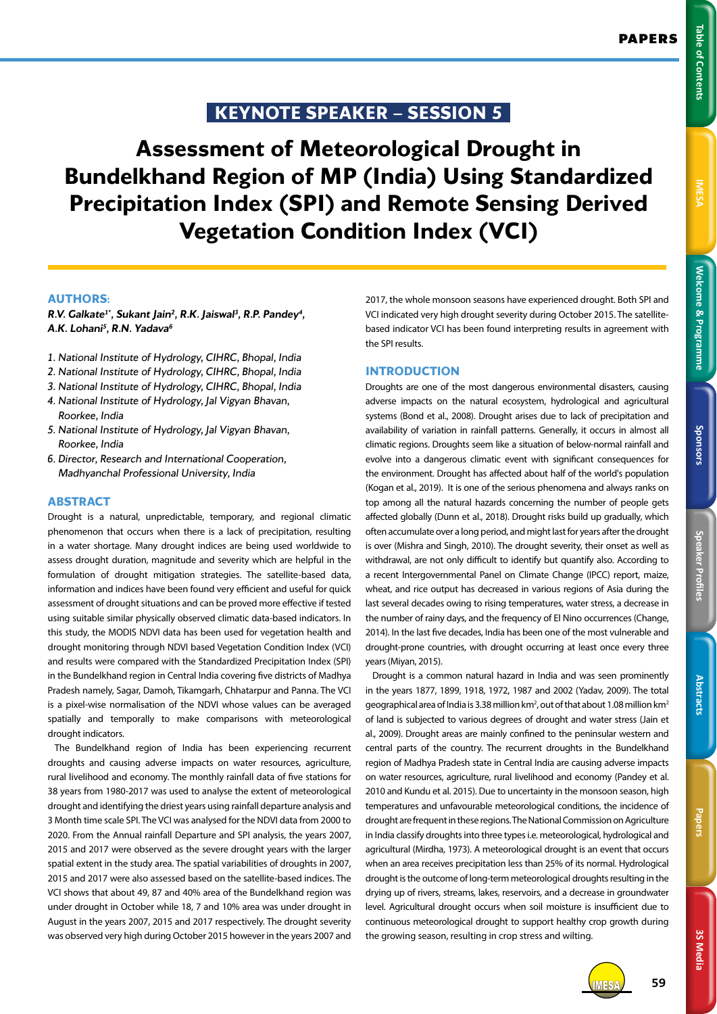# **KEYNOTE SPEAKER – SESSION 5**

**Assessment of Meteorological Drought in Bundelkhand Region of MP (India) Using Standardized Precipitation Index (SPI) and Remote Sensing Derived Vegetation Condition Index (VCI)**

# **AUTHORS:**

*R.V. Galkate1\*, Sukant Jain2 , R.K. Jaiswal3 , R.P. Pandey4 , A.K. Lohani5 , R.N. Yadava6*

- *1. National Institute of Hydrology, CIHRC, Bhopal, India*
- *2. National Institute of Hydrology, CIHRC, Bhopal, India*
- *3. National Institute of Hydrology, CIHRC, Bhopal, India*
- *4. National Institute of Hydrology, Jal Vigyan Bhavan, Roorkee, India*
- *5. National Institute of Hydrology, Jal Vigyan Bhavan, Roorkee, India*
- *6. Director, Research and International Cooperation, Madhyanchal Professional University, India*

## **ABSTRACT**

Drought is a natural, unpredictable, temporary, and regional climatic phenomenon that occurs when there is a lack of precipitation, resulting in a water shortage. Many drought indices are being used worldwide to assess drought duration, magnitude and severity which are helpful in the formulation of drought mitigation strategies. The satellite-based data, information and indices have been found very efficient and useful for quick assessment of drought situations and can be proved more effective if tested using suitable similar physically observed climatic data-based indicators. In this study, the MODIS NDVI data has been used for vegetation health and drought monitoring through NDVI based Vegetation Condition Index (VCI) and results were compared with the Standardized Precipitation Index (SPI) in the Bundelkhand region in Central India covering five districts of Madhya Pradesh namely, Sagar, Damoh, Tikamgarh, Chhatarpur and Panna. The VCI is a pixel-wise normalisation of the NDVI whose values can be averaged spatially and temporally to make comparisons with meteorological drought indicators.

The Bundelkhand region of India has been experiencing recurrent droughts and causing adverse impacts on water resources, agriculture, rural livelihood and economy. The monthly rainfall data of five stations for 38 years from 1980-2017 was used to analyse the extent of meteorological drought and identifying the driest years using rainfall departure analysis and 3 Month time scale SPI. The VCI was analysed for the NDVI data from 2000 to 2020. From the Annual rainfall Departure and SPI analysis, the years 2007, 2015 and 2017 were observed as the severe drought years with the larger spatial extent in the study area. The spatial variabilities of droughts in 2007, 2015 and 2017 were also assessed based on the satellite-based indices. The VCI shows that about 49, 87 and 40% area of the Bundelkhand region was under drought in October while 18, 7 and 10% area was under drought in August in the years 2007, 2015 and 2017 respectively. The drought severity was observed very high during October 2015 however in the years 2007 and

2017, the whole monsoon seasons have experienced drought. Both SPI and VCI indicated very high drought severity during October 2015. The satellitebased indicator VCI has been found interpreting results in agreement with the SPI results.

# **INTRODUCTION**

Droughts are one of the most dangerous environmental disasters, causing adverse impacts on the natural ecosystem, hydrological and agricultural systems (Bond et al., 2008). Drought arises due to lack of precipitation and availability of variation in rainfall patterns. Generally, it occurs in almost all climatic regions. Droughts seem like a situation of below-normal rainfall and evolve into a dangerous climatic event with significant consequences for the environment. Drought has affected about half of the world's population (Kogan et al., 2019). It is one of the serious phenomena and always ranks on top among all the natural hazards concerning the number of people gets affected globally (Dunn et al., 2018). Drought risks build up gradually, which often accumulate over a long period, and might last for years after the drought is over (Mishra and Singh, 2010). The drought severity, their onset as well as withdrawal, are not only difficult to identify but quantify also. According to a recent Intergovernmental Panel on Climate Change (IPCC) report, maize, wheat, and rice output has decreased in various regions of Asia during the last several decades owing to rising temperatures, water stress, a decrease in the number of rainy days, and the frequency of El Nino occurrences (Change, 2014). In the last five decades, India has been one of the most vulnerable and drought-prone countries, with drought occurring at least once every three years (Miyan, 2015).

Drought is a common natural hazard in India and was seen prominently in the years 1877, 1899, 1918, 1972, 1987 and 2002 (Yadav, 2009). The total geographical area of India is 3.38 million km<sup>2</sup>, out of that about 1.08 million km<sup>2</sup> of land is subjected to various degrees of drought and water stress (Jain et al., 2009). Drought areas are mainly confined to the peninsular western and central parts of the country. The recurrent droughts in the Bundelkhand region of Madhya Pradesh state in Central India are causing adverse impacts on water resources, agriculture, rural livelihood and economy (Pandey et al. 2010 and Kundu et al. 2015). Due to uncertainty in the monsoon season, high temperatures and unfavourable meteorological conditions, the incidence of drought are frequent in these regions. The National Commission on Agriculture in India classify droughts into three types i.e. meteorological, hydrological and agricultural (Mirdha, 1973). A meteorological drought is an event that occurs when an area receives precipitation less than 25% of its normal. Hydrological drought is the outcome of long-term meteorological droughts resulting in the drying up of rivers, streams, lakes, reservoirs, and a decrease in groundwater level. Agricultural drought occurs when soil moisture is insufficient due to continuous meteorological drought to support healthy crop growth during the growing season, resulting in crop stress and wilting.

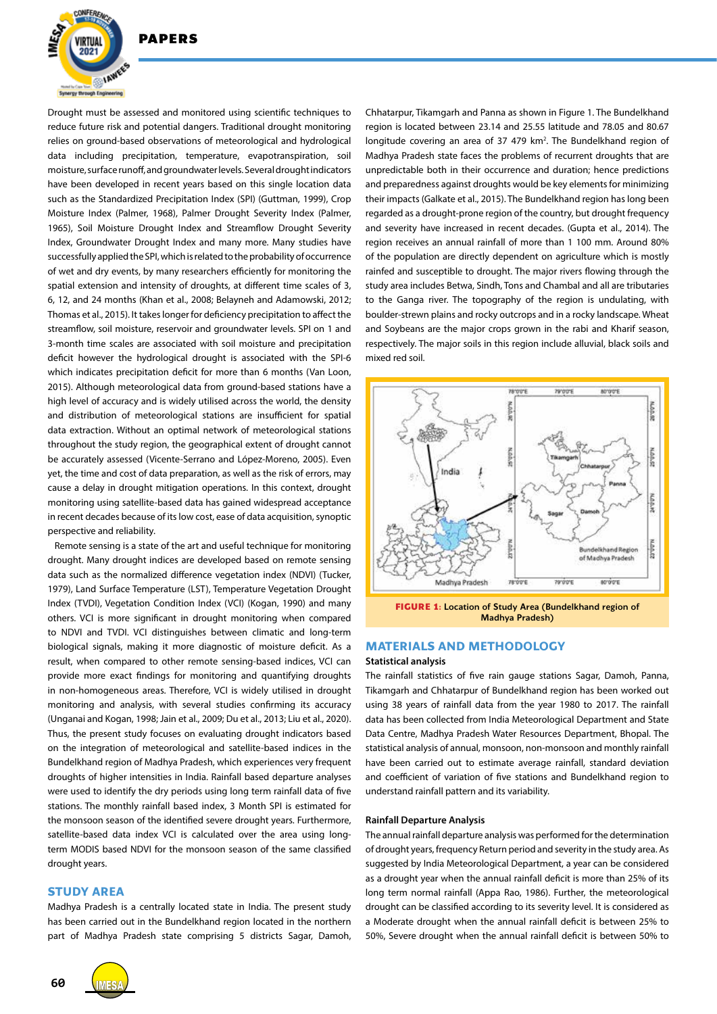

Drought must be assessed and monitored using scientific techniques to reduce future risk and potential dangers. Traditional drought monitoring relies on ground-based observations of meteorological and hydrological data including precipitation, temperature, evapotranspiration, soil moisture, surface runoff, and groundwater levels. Several drought indicators have been developed in recent years based on this single location data such as the Standardized Precipitation Index (SPI) (Guttman, 1999), Crop Moisture Index (Palmer, 1968), Palmer Drought Severity Index (Palmer, 1965), Soil Moisture Drought Index and Streamflow Drought Severity Index, Groundwater Drought Index and many more. Many studies have successfully applied the SPI, which is related to the probability of occurrence of wet and dry events, by many researchers efficiently for monitoring the spatial extension and intensity of droughts, at different time scales of 3, 6, 12, and 24 months (Khan et al., 2008; Belayneh and Adamowski, 2012; Thomas et al., 2015). It takes longer for deficiency precipitation to affect the streamflow, soil moisture, reservoir and groundwater levels. SPI on 1 and 3-month time scales are associated with soil moisture and precipitation deficit however the hydrological drought is associated with the SPI-6 which indicates precipitation deficit for more than 6 months (Van Loon, 2015). Although meteorological data from ground-based stations have a high level of accuracy and is widely utilised across the world, the density and distribution of meteorological stations are insufficient for spatial data extraction. Without an optimal network of meteorological stations throughout the study region, the geographical extent of drought cannot be accurately assessed (Vicente-Serrano and López-Moreno, 2005). Even yet, the time and cost of data preparation, as well as the risk of errors, may cause a delay in drought mitigation operations. In this context, drought monitoring using satellite-based data has gained widespread acceptance in recent decades because of its low cost, ease of data acquisition, synoptic perspective and reliability.

Remote sensing is a state of the art and useful technique for monitoring drought. Many drought indices are developed based on remote sensing data such as the normalized difference vegetation index (NDVI) (Tucker, 1979), Land Surface Temperature (LST), Temperature Vegetation Drought Index (TVDI), Vegetation Condition Index (VCI) (Kogan, 1990) and many others. VCI is more significant in drought monitoring when compared to NDVI and TVDI. VCI distinguishes between climatic and long-term biological signals, making it more diagnostic of moisture deficit. As a result, when compared to other remote sensing-based indices, VCI can provide more exact findings for monitoring and quantifying droughts in non-homogeneous areas. Therefore, VCI is widely utilised in drought monitoring and analysis, with several studies confirming its accuracy (Unganai and Kogan, 1998; Jain et al., 2009; Du et al., 2013; Liu et al., 2020). Thus, the present study focuses on evaluating drought indicators based on the integration of meteorological and satellite-based indices in the Bundelkhand region of Madhya Pradesh, which experiences very frequent droughts of higher intensities in India. Rainfall based departure analyses were used to identify the dry periods using long term rainfall data of five stations. The monthly rainfall based index, 3 Month SPI is estimated for the monsoon season of the identified severe drought years. Furthermore, satellite-based data index VCI is calculated over the area using longterm MODIS based NDVI for the monsoon season of the same classified drought years.

#### **STUDY AREA**

Madhya Pradesh is a centrally located state in India. The present study has been carried out in the Bundelkhand region located in the northern part of Madhya Pradesh state comprising 5 districts Sagar, Damoh,





**FIGURE 1:** Location of Study Area (Bundelkhand region of Madhya Pradesh)

#### **MATERIALS AND METHODOLOGY**

#### **Statistical analysis**

The rainfall statistics of five rain gauge stations Sagar, Damoh, Panna, Tikamgarh and Chhatarpur of Bundelkhand region has been worked out using 38 years of rainfall data from the year 1980 to 2017. The rainfall data has been collected from India Meteorological Department and State Data Centre, Madhya Pradesh Water Resources Department, Bhopal. The statistical analysis of annual, monsoon, non-monsoon and monthly rainfall have been carried out to estimate average rainfall, standard deviation and coefficient of variation of five stations and Bundelkhand region to understand rainfall pattern and its variability.

#### **Rainfall Departure Analysis**

The annual rainfall departure analysis was performed for the determination of drought years, frequency Return period and severity in the study area. As suggested by India Meteorological Department, a year can be considered as a drought year when the annual rainfall deficit is more than 25% of its long term normal rainfall (Appa Rao, 1986). Further, the meteorological drought can be classified according to its severity level. It is considered as a Moderate drought when the annual rainfall deficit is between 25% to 50%, Severe drought when the annual rainfall deficit is between 50% to

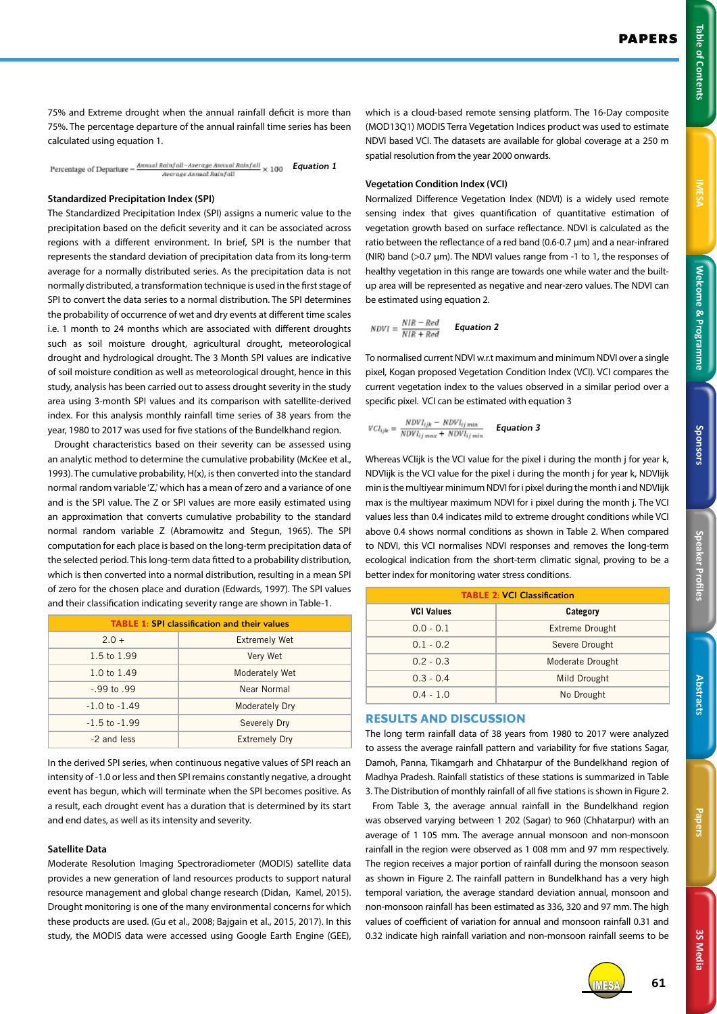**MESA** 

3S Media **3S Media**

75% and Extreme drought when the annual rainfall deficit is more than 75%. The percentage departure of the annual rainfall time series has been calculated using equation 1.

Percentage of Departure  $-\frac{A^{n}mudRainfall -Average A^{n}mvalRainfall}{A^{n}m} \times 100$  **Equation 1** 

#### **Standardized Precipitation Index (SPI)**

The Standardized Precipitation Index (SPI) assigns a numeric value to the precipitation based on the deficit severity and it can be associated across regions with a different environment. In brief, SPI is the number that represents the standard deviation of precipitation data from its long-term average for a normally distributed series. As the precipitation data is not normally distributed, a transformation technique is used in the first stage of SPI to convert the data series to a normal distribution. The SPI determines the probability of occurrence of wet and dry events at different time scales i.e. 1 month to 24 months which are associated with different droughts such as soil moisture drought, agricultural drought, meteorological drought and hydrological drought. The 3 Month SPI values are indicative of soil moisture condition as well as meteorological drought, hence in this study, analysis has been carried out to assess drought severity in the study area using 3-month SPI values and its comparison with satellite-derived index. For this analysis monthly rainfall time series of 38 years from the year, 1980 to 2017 was used for five stations of the Bundelkhand region.

Drought characteristics based on their severity can be assessed using an analytic method to determine the cumulative probability (McKee et al., 1993). The cumulative probability, H(x), is then converted into the standard normal random variable 'Z,' which has a mean of zero and a variance of one and is the SPI value. The Z or SPI values are more easily estimated using an approximation that converts cumulative probability to the standard normal random variable Z (Abramowitz and Stegun, 1965). The SPI computation for each place is based on the long-term precipitation data of the selected period. This long-term data fitted to a probability distribution, which is then converted into a normal distribution, resulting in a mean SPI of zero for the chosen place and duration (Edwards, 1997). The SPI values and their classification indicating severity range are shown in Table-1.

| <b>TABLE 1: SPI classification and their values</b> |                      |  |  |  |
|-----------------------------------------------------|----------------------|--|--|--|
| $2.0 +$                                             | <b>Extremely Wet</b> |  |  |  |
| 1.5 to 1.99                                         | Very Wet             |  |  |  |
| 1.0 to 1.49                                         | Moderately Wet       |  |  |  |
| $-.99$ to $.99$                                     | Near Normal          |  |  |  |
| $-1.0$ to $-1.49$                                   | Moderately Dry       |  |  |  |
| $-1.5$ to $-1.99$                                   | Severely Dry         |  |  |  |
| -2 and less                                         | <b>Extremely Dry</b> |  |  |  |

In the derived SPI series, when continuous negative values of SPI reach an intensity of -1.0 or less and then SPI remains constantly negative, a drought event has begun, which will terminate when the SPI becomes positive. As a result, each drought event has a duration that is determined by its start and end dates, as well as its intensity and severity.

## **Satellite Data**

Moderate Resolution Imaging Spectroradiometer (MODIS) satellite data provides a new generation of land resources products to support natural resource management and global change research (Didan, Kamel, 2015). Drought monitoring is one of the many environmental concerns for which these products are used. (Gu et al., 2008; Bajgain et al., 2015, 2017). In this study, the MODIS data were accessed using Google Earth Engine (GEE),

which is a cloud-based remote sensing platform. The 16-Day composite (MOD13Q1) MODIS Terra Vegetation Indices product was used to estimate NDVI based VCI. The datasets are available for global coverage at a 250 m spatial resolution from the year 2000 onwards.

#### **Vegetation Condition Index (VCI)**

Normalized Difference Vegetation Index (NDVI) is a widely used remote sensing index that gives quantification of quantitative estimation of vegetation growth based on surface reflectance. NDVI is calculated as the ratio between the reflectance of a red band (0.6-0.7 μm) and a near-infrared (NIR) band (>0.7 μm). The NDVI values range from -1 to 1, the responses of healthy vegetation in this range are towards one while water and the builtup area will be represented as negative and near-zero values. The NDVI can be estimated using equation 2.

$$
\textit{NDVI} = \frac{\textit{NIR} - \textit{Red}}{\textit{NIR} + \textit{Red}} \qquad \textit{Equation 2}
$$

To normalised current NDVI w.r.t maximum and minimum NDVI over a single pixel, Kogan proposed Vegetation Condition Index (VCI). VCI compares the current vegetation index to the values observed in a similar period over a specific pixel. VCI can be estimated with equation 3

$$
VCI_{ijk} = \frac{NDVI_{ijk} - NDVI_{ij\ min}}{NDVI_{ij\ max} + NDVI_{ij\ min}} \qquad \text{Equation 3}
$$

Whereas VCIijk is the VCI value for the pixel i during the month j for year k, NDVIijk is the VCI value for the pixel i during the month j for year k, NDVIijk min is the multiyear minimum NDVI for i pixel during the month i and NDVIijk max is the multiyear maximum NDVI for i pixel during the month j. The VCI values less than 0.4 indicates mild to extreme drought conditions while VCI above 0.4 shows normal conditions as shown in Table 2. When compared to NDVI, this VCI normalises NDVI responses and removes the long-term ecological indication from the short-term climatic signal, proving to be a better index for monitoring water stress conditions.

| <b>TABLE 2: VCI Classification</b> |                        |  |  |  |  |
|------------------------------------|------------------------|--|--|--|--|
| <b>VCI Values</b>                  | Category               |  |  |  |  |
| $0.0 - 0.1$                        | <b>Extreme Drought</b> |  |  |  |  |
| $0.1 - 0.2$                        | Severe Drought         |  |  |  |  |
| $0.2 - 0.3$                        | Moderate Drought       |  |  |  |  |
| $0.3 - 0.4$                        | Mild Drought           |  |  |  |  |
| $0.4 - 1.0$                        | No Drought             |  |  |  |  |

### **RESULTS AND DISCUSSION**

The long term rainfall data of 38 years from 1980 to 2017 were analyzed to assess the average rainfall pattern and variability for five stations Sagar, Damoh, Panna, Tikamgarh and Chhatarpur of the Bundelkhand region of Madhya Pradesh. Rainfall statistics of these stations is summarized in Table 3. The Distribution of monthly rainfall of all five stations is shown in Figure 2.

From Table 3, the average annual rainfall in the Bundelkhand region was observed varying between 1 202 (Sagar) to 960 (Chhatarpur) with an average of 1 105 mm. The average annual monsoon and non-monsoon rainfall in the region were observed as 1 008 mm and 97 mm respectively. The region receives a major portion of rainfall during the monsoon season as shown in Figure 2. The rainfall pattern in Bundelkhand has a very high temporal variation, the average standard deviation annual, monsoon and non-monsoon rainfall has been estimated as 336, 320 and 97 mm. The high values of coefficient of variation for annual and monsoon rainfall 0.31 and 0.32 indicate high rainfall variation and non-monsoon rainfall seems to be

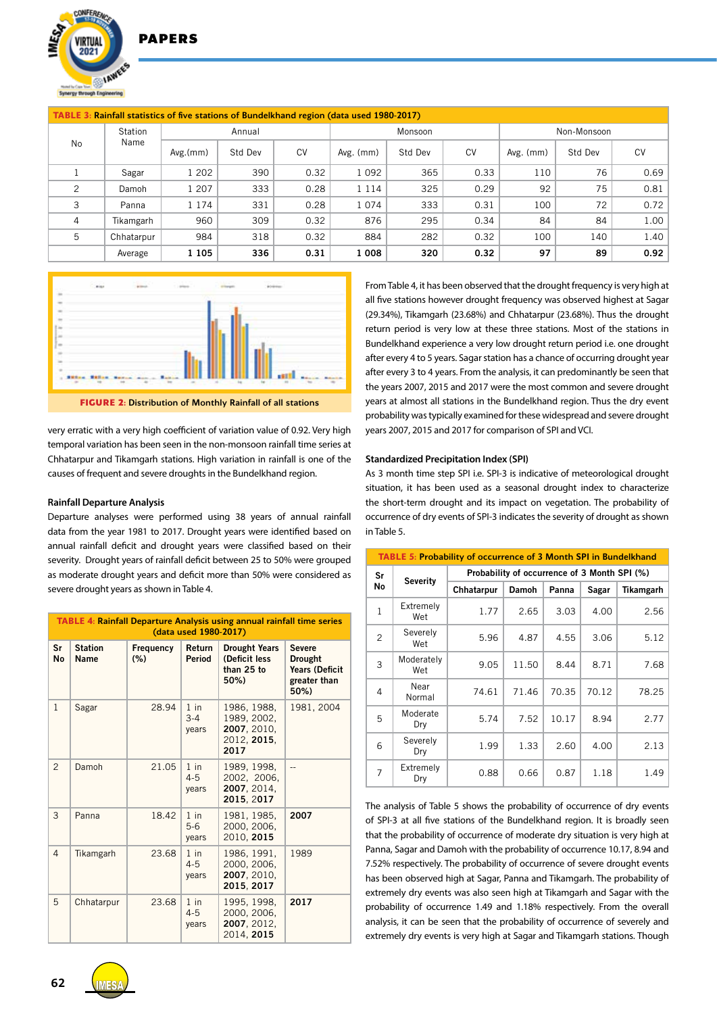2021 **IAW** 

**DAPFRS** 

| <b>TABLE 3: Rainfall statistics of five stations of Bundelkhand region (data used 1980-2017)</b> |            |          |         |         |           |         |             |           |         |           |
|--------------------------------------------------------------------------------------------------|------------|----------|---------|---------|-----------|---------|-------------|-----------|---------|-----------|
| Station<br>Name<br><b>No</b>                                                                     |            | Annual   |         | Monsoon |           |         | Non-Monsoon |           |         |           |
|                                                                                                  |            | Avg.(mm) | Std Dev | CV      | Avg. (mm) | Std Dev | <b>CV</b>   | Avg. (mm) | Std Dev | <b>CV</b> |
|                                                                                                  | Sagar      | 1 202    | 390     | 0.32    | 1 0 9 2   | 365     | 0.33        | 110       | 76      | 0.69      |
| $\overline{c}$                                                                                   | Damoh      | 1 207    | 333     | 0.28    | 1 1 1 4   | 325     | 0.29        | 92        | 75      | 0.81      |
| 3                                                                                                | Panna      | 1 1 7 4  | 331     | 0.28    | 1 0 7 4   | 333     | 0.31        | 100       | 72      | 0.72      |
| 4                                                                                                | Tikamgarh  | 960      | 309     | 0.32    | 876       | 295     | 0.34        | 84        | 84      | 1.00      |
| 5                                                                                                | Chhatarpur | 984      | 318     | 0.32    | 884       | 282     | 0.32        | 100       | 140     | 1.40      |
|                                                                                                  | Average    | 1 1 0 5  | 336     | 0.31    | 1 0 0 8   | 320     | 0.32        | 97        | 89      | 0.92      |



very erratic with a very high coefficient of variation value of 0.92. Very high temporal variation has been seen in the non-monsoon rainfall time series at Chhatarpur and Tikamgarh stations. High variation in rainfall is one of the causes of frequent and severe droughts in the Bundelkhand region.

#### **Rainfall Departure Analysis**

Departure analyses were performed using 38 years of annual rainfall data from the year 1981 to 2017. Drought years were identified based on annual rainfall deficit and drought years were classified based on their severity. Drought years of rainfall deficit between 25 to 50% were grouped as moderate drought years and deficit more than 50% were considered as severe drought years as shown in Table 4.

| <b>TABLE 4: Rainfall Departure Analysis using annual rainfall time series</b><br>(data used 1980-2017) |                        |                                                             |                            |                                                                  |                                                                                  |  |  |
|--------------------------------------------------------------------------------------------------------|------------------------|-------------------------------------------------------------|----------------------------|------------------------------------------------------------------|----------------------------------------------------------------------------------|--|--|
| Sr<br><b>No</b>                                                                                        | <b>Station</b><br>Name | Return<br>Frequency<br>(% )<br>Period<br>than 25 to<br>50%) |                            | <b>Drought Years</b><br>(Deficit less                            | <b>Severe</b><br><b>Drought</b><br><b>Years (Deficit</b><br>greater than<br>50%) |  |  |
| $\mathbf{1}$                                                                                           | Sagar                  | 28.94                                                       | $1$ in<br>$3 - 4$<br>vears | 1986, 1988,<br>1989, 2002,<br>2007, 2010,<br>2012, 2015,<br>2017 | 1981, 2004                                                                       |  |  |
| $\overline{2}$                                                                                         | Damoh                  | 21.05                                                       | $1$ in<br>$4 - 5$<br>vears | 1989, 1998,<br>2002, 2006,<br>2007, 2014,<br>2015, 2017          |                                                                                  |  |  |
| 3                                                                                                      | Panna                  | 18.42                                                       | $1$ in<br>$5-6$<br>years   | 1981, 1985,<br>2000, 2006,<br>2010. 2015                         | 2007                                                                             |  |  |
| 4                                                                                                      | Tikamgarh              | 23.68                                                       | $1$ in<br>$4 - 5$<br>years | 1986, 1991,<br>2000, 2006,<br>2007, 2010,<br>2015, 2017          | 1989                                                                             |  |  |
| 5                                                                                                      | Chhatarpur             | 23.68                                                       | $1$ in<br>$4 - 5$<br>vears | 1995, 1998,<br>2000, 2006,<br>2007, 2012,<br>2014, 2015          | 2017                                                                             |  |  |

From Table 4, it has been observed that the drought frequency is very high at all five stations however drought frequency was observed highest at Sagar (29.34%), Tikamgarh (23.68%) and Chhatarpur (23.68%). Thus the drought return period is very low at these three stations. Most of the stations in Bundelkhand experience a very low drought return period i.e. one drought after every 4 to 5 years. Sagar station has a chance of occurring drought year after every 3 to 4 years. From the analysis, it can predominantly be seen that the years 2007, 2015 and 2017 were the most common and severe drought years at almost all stations in the Bundelkhand region. Thus the dry event probability was typically examined for these widespread and severe drought years 2007, 2015 and 2017 for comparison of SPI and VCI.

#### **Standardized Precipitation Index (SPI)**

As 3 month time step SPI i.e. SPI-3 is indicative of meteorological drought situation, it has been used as a seasonal drought index to characterize the short-term drought and its impact on vegetation. The probability of occurrence of dry events of SPI-3 indicates the severity of drought as shown in Table 5.

| <b>TABLE 5: Probability of occurrence of 3 Month SPI in Bundelkhand</b> |                   |                                              |              |       |       |           |  |  |
|-------------------------------------------------------------------------|-------------------|----------------------------------------------|--------------|-------|-------|-----------|--|--|
| Sr                                                                      |                   | Probability of occurrence of 3 Month SPI (%) |              |       |       |           |  |  |
| No                                                                      | <b>Severity</b>   | Chhatarpur                                   | <b>Damoh</b> | Panna | Sagar | Tikamgarh |  |  |
| $\mathbf{1}$                                                            | Extremely<br>Wet  | 1.77                                         | 2.65         | 3.03  | 4.00  | 2.56      |  |  |
| 2                                                                       | Severely<br>Wet   | 5.96                                         | 4.87         | 4.55  | 3.06  | 5.12      |  |  |
| 3                                                                       | Moderately<br>Wet | 9.05                                         | 11.50        | 8.44  | 8.71  | 7.68      |  |  |
| $\overline{4}$                                                          | Near<br>Normal    | 74.61                                        | 71.46        | 70.35 | 70.12 | 78.25     |  |  |
| 5                                                                       | Moderate<br>Dry   | 5.74                                         | 7.52         | 10.17 | 8.94  | 2.77      |  |  |
| 6                                                                       | Severely<br>Dry   | 1.99                                         | 1.33         | 2.60  | 4.00  | 2.13      |  |  |
| $\overline{7}$                                                          | Extremely<br>Dry  | 0.88                                         | 0.66         | 0.87  | 1.18  | 1.49      |  |  |

The analysis of Table 5 shows the probability of occurrence of dry events of SPI-3 at all five stations of the Bundelkhand region. It is broadly seen that the probability of occurrence of moderate dry situation is very high at Panna, Sagar and Damoh with the probability of occurrence 10.17, 8.94 and 7.52% respectively. The probability of occurrence of severe drought events has been observed high at Sagar, Panna and Tikamgarh. The probability of extremely dry events was also seen high at Tikamgarh and Sagar with the probability of occurrence 1.49 and 1.18% respectively. From the overall analysis, it can be seen that the probability of occurrence of severely and extremely dry events is very high at Sagar and Tikamgarh stations. Though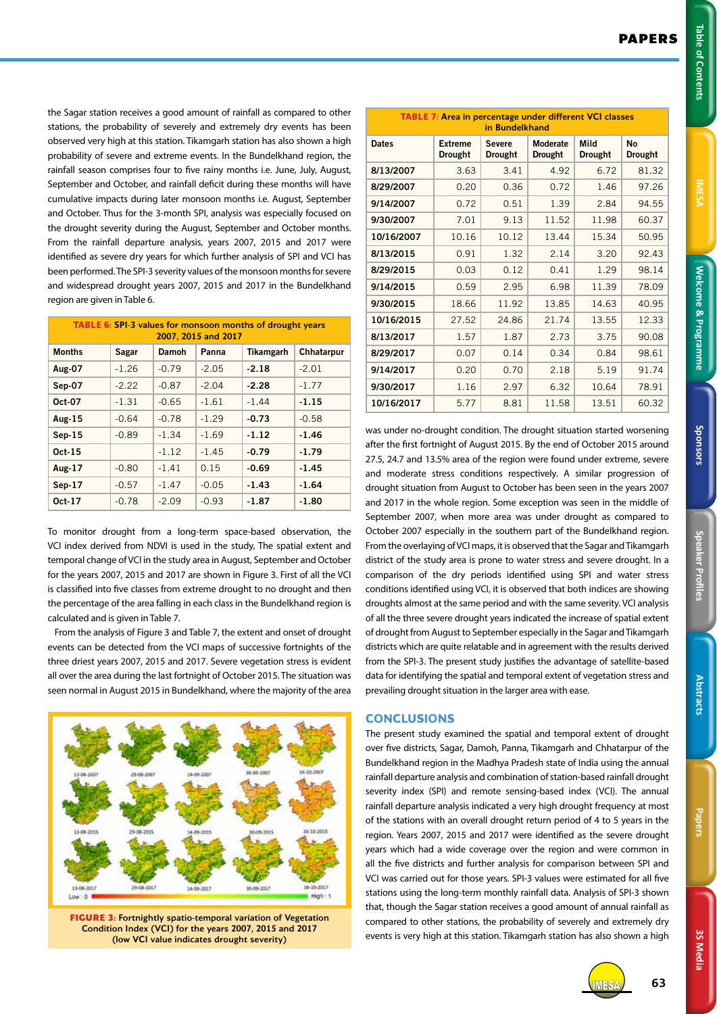Table of Contents

3S Media **3S Media**

the Sagar station receives a good amount of rainfall as compared to other stations, the probability of severely and extremely dry events has been observed very high at this station. Tikamgarh station has also shown a high probability of severe and extreme events. In the Bundelkhand region, the rainfall season comprises four to five rainy months i.e. June, July, August, September and October, and rainfall deficit during these months will have cumulative impacts during later monsoon months i.e. August, September and October. Thus for the 3-month SPI, analysis was especially focused on the drought severity during the August, September and October months. From the rainfall departure analysis, years 2007, 2015 and 2017 were identified as severe dry years for which further analysis of SPI and VCI has been performed. The SPI-3 severity values of the monsoon months for severe and widespread drought years 2007, 2015 and 2017 in the Bundelkhand region are given in Table 6.

| <b>TABLE 6: SPI-3 values for monsoon months of drought years</b><br>2007, 2015 and 2017 |         |         |         |           |            |  |  |
|-----------------------------------------------------------------------------------------|---------|---------|---------|-----------|------------|--|--|
| <b>Months</b>                                                                           | Sagar   | Damoh   | Panna   | Tikamgarh | Chhatarpur |  |  |
| Aug-07                                                                                  | $-1.26$ | $-0.79$ | $-2.05$ | $-2.18$   | $-2.01$    |  |  |
| Sep-07                                                                                  | $-2.22$ | $-0.87$ | $-2.04$ | $-2.28$   | $-1.77$    |  |  |
| Oct-07                                                                                  | $-1.31$ | $-0.65$ | $-1.61$ | $-1.44$   | $-1.15$    |  |  |
| <b>Aug-15</b>                                                                           | $-0.64$ | $-0.78$ | $-1.29$ | $-0.73$   | $-0.58$    |  |  |
| $Sep-15$                                                                                | $-0.89$ | $-1.34$ | $-1.69$ | $-1.12$   | $-1.46$    |  |  |
| $Oct-15$                                                                                |         | $-1.12$ | $-1.45$ | $-0.79$   | $-1.79$    |  |  |
| Aug-17                                                                                  | $-0.80$ | $-1.41$ | 0.15    | $-0.69$   | $-1.45$    |  |  |
| $Sep-17$                                                                                | $-0.57$ | $-1.47$ | $-0.05$ | $-1.43$   | $-1.64$    |  |  |
| Oct-17                                                                                  | $-0.78$ | $-2.09$ | $-0.93$ | -1.87     | $-1.80$    |  |  |

To monitor drought from a long-term space-based observation, the VCI index derived from NDVI is used in the study, The spatial extent and temporal change of VCI in the study area in August, September and October for the years 2007, 2015 and 2017 are shown in Figure 3. First of all the VCI is classified into five classes from extreme drought to no drought and then the percentage of the area falling in each class in the Bundelkhand region is calculated and is given in Table 7.

From the analysis of Figure 3 and Table 7, the extent and onset of drought events can be detected from the VCI maps of successive fortnights of the three driest years 2007, 2015 and 2017. Severe vegetation stress is evident all over the area during the last fortnight of October 2015. The situation was seen normal in August 2015 in Bundelkhand, where the majority of the area



**FIGURE 3:** Fortnightly spatio-temporal variation of Vegetation Condition Index (VCI) for the years 2007, 2015 and 2017 (low VCI value indicates drought severity)

| <b>TABLE 7: Area in percentage under different VCI classes</b><br>in Bundelkhand |                                  |                                 |                            |                        |                             |  |  |  |
|----------------------------------------------------------------------------------|----------------------------------|---------------------------------|----------------------------|------------------------|-----------------------------|--|--|--|
| <b>Dates</b>                                                                     | <b>Extreme</b><br><b>Drought</b> | <b>Severe</b><br><b>Drought</b> | Moderate<br><b>Drought</b> | Mild<br><b>Drought</b> | <b>No</b><br><b>Drought</b> |  |  |  |
| 8/13/2007                                                                        | 3.63                             | 3.41                            | 4.92                       | 6.72                   | 81.32                       |  |  |  |
| 8/29/2007                                                                        | 0.20                             | 0.36                            | 0.72                       | 1.46                   | 97.26                       |  |  |  |
| 9/14/2007                                                                        | 0.72                             | 0.51                            | 1.39                       | 2.84                   | 94.55                       |  |  |  |
| 9/30/2007                                                                        | 7.01                             | 9.13                            | 11.52                      | 11.98                  | 60.37                       |  |  |  |
| 10/16/2007                                                                       | 10.16                            | 10.12                           | 13.44                      | 15.34                  | 50.95                       |  |  |  |
| 8/13/2015                                                                        | 0.91                             | 1.32                            | 2.14                       | 3.20                   | 92.43                       |  |  |  |
| 8/29/2015                                                                        | 0.03                             | 0.12                            | 0.41                       | 1.29                   | 98.14                       |  |  |  |
| 9/14/2015                                                                        | 0.59                             | 2.95                            | 6.98                       | 11.39                  | 78.09                       |  |  |  |
| 9/30/2015                                                                        | 18.66                            | 11.92                           | 13.85                      | 14.63                  | 40.95                       |  |  |  |
| 10/16/2015                                                                       | 27.52                            | 24.86                           | 21.74                      | 13.55                  | 12.33                       |  |  |  |
| 8/13/2017                                                                        | 1.57                             | 1.87                            | 2.73                       | 3.75                   | 90.08                       |  |  |  |
| 8/29/2017                                                                        | 0.07                             | 0.14                            | 0.34                       | 0.84                   | 98.61                       |  |  |  |
| 9/14/2017                                                                        | 0.20                             | 0.70                            | 2.18                       | 5.19                   | 91.74                       |  |  |  |
| 9/30/2017                                                                        | 1.16                             | 2.97                            | 6.32                       | 10.64                  | 78.91                       |  |  |  |
| 10/16/2017                                                                       | 5.77                             | 8.81                            | 11.58                      | 13.51                  | 60.32                       |  |  |  |

was under no-drought condition. The drought situation started worsening after the first fortnight of August 2015. By the end of October 2015 around 27.5, 24.7 and 13.5% area of the region were found under extreme, severe and moderate stress conditions respectively. A similar progression of drought situation from August to October has been seen in the years 2007 and 2017 in the whole region. Some exception was seen in the middle of September 2007, when more area was under drought as compared to October 2007 especially in the southern part of the Bundelkhand region. From the overlaying of VCI maps, it is observed that the Sagar and Tikamgarh district of the study area is prone to water stress and severe drought. In a comparison of the dry periods identified using SPI and water stress conditions identified using VCI, it is observed that both indices are showing droughts almost at the same period and with the same severity. VCI analysis of all the three severe drought years indicated the increase of spatial extent of drought from August to September especially in the Sagar and Tikamgarh districts which are quite relatable and in agreement with the results derived from the SPI-3. The present study justifies the advantage of satellite-based data for identifying the spatial and temporal extent of vegetation stress and prevailing drought situation in the larger area with ease.

# **CONCLUSIONS**

The present study examined the spatial and temporal extent of drought over five districts, Sagar, Damoh, Panna, Tikamgarh and Chhatarpur of the Bundelkhand region in the Madhya Pradesh state of India using the annual rainfall departure analysis and combination of station-based rainfall drought severity index (SPI) and remote sensing-based index (VCI). The annual rainfall departure analysis indicated a very high drought frequency at most of the stations with an overall drought return period of 4 to 5 years in the region. Years 2007, 2015 and 2017 were identified as the severe drought years which had a wide coverage over the region and were common in all the five districts and further analysis for comparison between SPI and VCI was carried out for those years. SPI-3 values were estimated for all five stations using the long-term monthly rainfall data. Analysis of SPI-3 shown that, though the Sagar station receives a good amount of annual rainfall as compared to other stations, the probability of severely and extremely dry events is very high at this station. Tikamgarh station has also shown a high